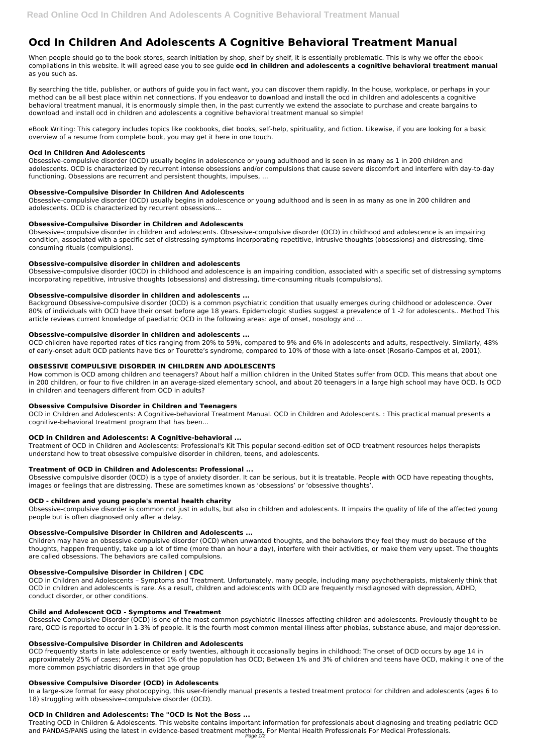# **Ocd In Children And Adolescents A Cognitive Behavioral Treatment Manual**

When people should go to the book stores, search initiation by shop, shelf by shelf, it is essentially problematic. This is why we offer the ebook compilations in this website. It will agreed ease you to see guide **ocd in children and adolescents a cognitive behavioral treatment manual** as you such as.

By searching the title, publisher, or authors of guide you in fact want, you can discover them rapidly. In the house, workplace, or perhaps in your method can be all best place within net connections. If you endeavor to download and install the ocd in children and adolescents a cognitive behavioral treatment manual, it is enormously simple then, in the past currently we extend the associate to purchase and create bargains to download and install ocd in children and adolescents a cognitive behavioral treatment manual so simple!

eBook Writing: This category includes topics like cookbooks, diet books, self-help, spirituality, and fiction. Likewise, if you are looking for a basic overview of a resume from complete book, you may get it here in one touch.

# **Ocd In Children And Adolescents**

Obsessive-compulsive disorder (OCD) usually begins in adolescence or young adulthood and is seen in as many as 1 in 200 children and adolescents. OCD is characterized by recurrent intense obsessions and/or compulsions that cause severe discomfort and interfere with day-to-day functioning. Obsessions are recurrent and persistent thoughts, impulses, ...

# **Obsessive-Compulsive Disorder In Children And Adolescents**

Obsessive-compulsive disorder (OCD) usually begins in adolescence or young adulthood and is seen in as many as one in 200 children and adolescents. OCD is characterized by recurrent obsessions...

# **Obsessive-Compulsive Disorder in Children and Adolescents**

Obsessive-compulsive disorder in children and adolescents. Obsessive-compulsive disorder (OCD) in childhood and adolescence is an impairing condition, associated with a specific set of distressing symptoms incorporating repetitive, intrusive thoughts (obsessions) and distressing, timeconsuming rituals (compulsions).

# **Obsessive-compulsive disorder in children and adolescents**

Obsessive-compulsive disorder (OCD) in childhood and adolescence is an impairing condition, associated with a specific set of distressing symptoms incorporating repetitive, intrusive thoughts (obsessions) and distressing, time-consuming rituals (compulsions).

# **Obsessive-compulsive disorder in children and adolescents ...**

Background Obsessive-compulsive disorder (OCD) is a common psychiatric condition that usually emerges during childhood or adolescence. Over 80% of individuals with OCD have their onset before age 18 years. Epidemiologic studies suggest a prevalence of 1 -2 for adolescents.. Method This article reviews current knowledge of paediatric OCD in the following areas: age of onset, nosology and ...

# **Obsessive-compulsive disorder in children and adolescents ...**

OCD children have reported rates of tics ranging from 20% to 59%, compared to 9% and 6% in adolescents and adults, respectively. Similarly, 48% of early-onset adult OCD patients have tics or Tourette's syndrome, compared to 10% of those with a late-onset (Rosario-Campos et al, 2001).

Treating OCD in Children & Adolescents. This website contains important information for professionals about diagnosing and treating pediatric OCD and PANDAS/PANS using the latest in evidence-based treatment methods. For Mental Health Professionals For Medical Professionals. Page 1/2

# **OBSESSIVE COMPULSIVE DISORDER IN CHILDREN AND ADOLESCENTS**

How common is OCD among children and teenagers? About half a million children in the United States suffer from OCD. This means that about one in 200 children, or four to five children in an average-sized elementary school, and about 20 teenagers in a large high school may have OCD. Is OCD in children and teenagers different from OCD in adults?

# **Obsessive Compulsive Disorder in Children and Teenagers**

OCD in Children and Adolescents: A Cognitive-behavioral Treatment Manual. OCD in Children and Adolescents. : This practical manual presents a cognitive-behavioral treatment program that has been...

# **OCD in Children and Adolescents: A Cognitive-behavioral ...**

Treatment of OCD in Children and Adolescents: Professional's Kit This popular second-edition set of OCD treatment resources helps therapists understand how to treat obsessive compulsive disorder in children, teens, and adolescents.

# **Treatment of OCD in Children and Adolescents: Professional ...**

Obsessive compulsive disorder (OCD) is a type of anxiety disorder. It can be serious, but it is treatable. People with OCD have repeating thoughts, images or feelings that are distressing. These are sometimes known as 'obsessions' or 'obsessive thoughts'.

# **OCD - children and young people's mental health charity**

Obsessive-compulsive disorder is common not just in adults, but also in children and adolescents. It impairs the quality of life of the affected young people but is often diagnosed only after a delay.

# **Obsessive-Compulsive Disorder in Children and Adolescents ...**

Children may have an obsessive-compulsive disorder (OCD) when unwanted thoughts, and the behaviors they feel they must do because of the thoughts, happen frequently, take up a lot of time (more than an hour a day), interfere with their activities, or make them very upset. The thoughts are called obsessions. The behaviors are called compulsions.

#### **Obsessive-Compulsive Disorder in Children | CDC**

OCD in Children and Adolescents – Symptoms and Treatment. Unfortunately, many people, including many psychotherapists, mistakenly think that OCD in children and adolescents is rare. As a result, children and adolescents with OCD are frequently misdiagnosed with depression, ADHD, conduct disorder, or other conditions.

#### **Child and Adolescent OCD - Symptoms and Treatment**

Obsessive Compulsive Disorder (OCD) is one of the most common psychiatric illnesses affecting children and adolescents. Previously thought to be rare, OCD is reported to occur in 1-3% of people. It is the fourth most common mental illness after phobias, substance abuse, and major depression.

#### **Obsessive-Compulsive Disorder in Children and Adolescents**

OCD frequently starts in late adolescence or early twenties, although it occasionally begins in childhood; The onset of OCD occurs by age 14 in approximately 25% of cases; An estimated 1% of the population has OCD; Between 1% and 3% of children and teens have OCD, making it one of the more common psychiatric disorders in that age group

#### **Obsessive Compulsive Disorder (OCD) in Adolescents**

In a large-size format for easy photocopying, this user-friendly manual presents a tested treatment protocol for children and adolescents (ages 6 to 18) struggling with obsessive–compulsive disorder (OCD).

# **OCD in Children and Adolescents: The "OCD Is Not the Boss ...**